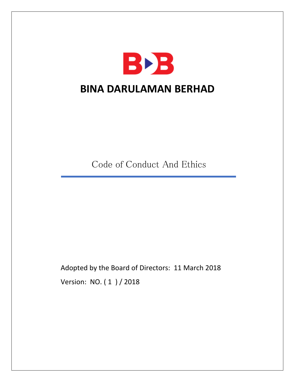

Code of Conduct And Ethics

Adopted by the Board of Directors: 11 March 2018 Version: NO. ( 1 ) / 2018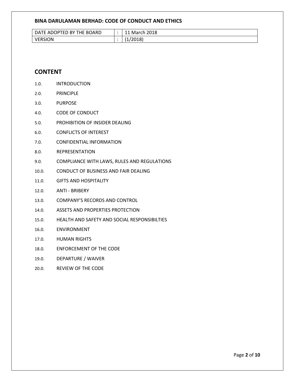| DATE ADOPTED BY THE BOARD | March 2018             |
|---------------------------|------------------------|
| <b>VERSION</b>            | 2018)<br><u>. на с</u> |

# **CONTENT**

- 1.0. INTRODUCTION
- 2.0. PRINCIPLE
- 3.0. PURPOSE
- 4.0. CODE OF CONDUCT
- 5.0. PROHIBITION OF INSIDER DEALING
- 6.0. CONFLICTS OF INTEREST
- 7.0. CONFIDENTIAL INFORMATION
- 8.0. REPRESENTATION
- 9.0. COMPLIANCE WITH LAWS, RULES AND REGULATIONS
- 10.0. CONDUCT OF BUSINESS AND FAIR DEALING
- 11.0. GIFTS AND HOSPITALITY
- 12.0. ANTI BRIBERY
- 13.0. COMPANY'S RECORDS AND CONTROL
- 14.0. ASSETS AND PROPERTIES PROTECTION
- 15.0. HEALTH AND SAFETY AND SOCIAL RESPONSIBILTIES
- 16.0. ENVIRONMENT
- 17.0. HUMAN RIGHTS
- 18.0. ENFORCEMENT OF THE CODE
- 19.0. DEPARTURE / WAIVER
- 20.0. REVIEW OF THE CODE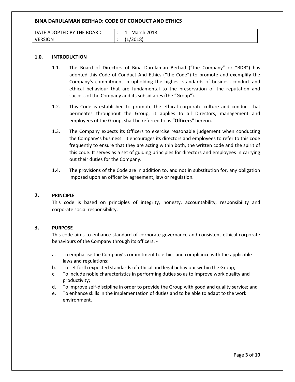| \TE ADOPTED BY THE BOARD<br>DA. | 2018<br>March |
|---------------------------------|---------------|
| <b>VERSION</b>                  | 2018)<br>. .  |

#### **1.0. INTRODUCTION**

- 1.1. The Board of Directors of Bina Darulaman Berhad ("the Company" or "BDB") has adopted this Code of Conduct And Ethics ("the Code") to promote and exemplify the Company's commitment in upholding the highest standards of business conduct and ethical behaviour that are fundamental to the preservation of the reputation and success of the Company and its subsidiaries (the "Group").
- 1.2. This Code is established to promote the ethical corporate culture and conduct that permeates throughout the Group, it applies to all Directors, management and employees of the Group, shall be referred to as **"Officers"** hereon.
- 1.3. The Company expects its Officers to exercise reasonable judgement when conducting the Company's business. It encourages its directors and employees to refer to this code frequently to ensure that they are acting within both, the written code and the spirit of this code. It serves as a set of guiding principles for directors and employees in carrying out their duties for the Company.
- 1.4. The provisions of the Code are in addition to, and not in substitution for, any obligation imposed upon an officer by agreement, law or regulation.

#### **2. PRINCIPLE**

This code is based on principles of integrity, honesty, accountability, responsibility and corporate social responsibility.

#### **3. PURPOSE**

This code aims to enhance standard of corporate governance and consistent ethical corporate behaviours of the Company through its officers: -

- a. To emphasise the Company's commitment to ethics and compliance with the applicable laws and regulations;
- b. To set forth expected standards of ethical and legal behaviour within the Group;
- c. To include noble characteristics in performing duties so as to improve work quality and productivity;
- d. To improve self-discipline in order to provide the Group with good and quality service; and
- e. To enhance skills in the implementation of duties and to be able to adapt to the work environment.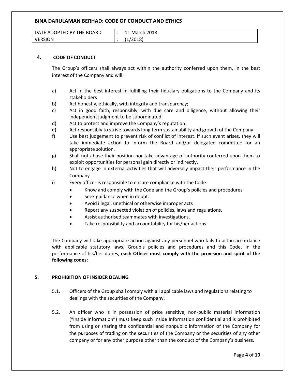| DATE ADOPTED BY THE BOARD | March 2018 |
|---------------------------|------------|
| <b>VERSION</b>            | 2018       |

# **4. CODE OF CONDUCT**

The Group's officers shall always act within the authority conferred upon them, in the best interest of the Company and will:

- a) Act In the best interest in fulfilling their fiduciary obligations to the Company and its stakeholders
- b) Act honestly, ethically, with integrity and transparency;
- c) Act in good faith, responsibly, with due care and diligence, without allowing their independent judgment to be subordinated;
- d) Act to protect and improve the Company's reputation.
- e) Act responsibly to strive towards long term sustainability and growth of the Company.
- f) Use best judgement to prevent risk of conflict of interest. If such event arises, they will take immediate action to inform the Board and/or delegated committee for an appropriate solution.
- g) Shall not abuse their position nor take advantage of authority conferred upon them to exploit opportunities for personal gain directly or indirectly.
- h) Not to engage in external activities that will adversely impact their performance in the Company
- i) Every officer is responsible to ensure compliance with the Code:
	- Know and comply with the Code and the Group's policies and procedures.
	- Seek guidance when in doubt.
	- Avoid illegal, unethical or otherwise improper acts
	- Report any suspected violation of policies, laws and regulations.
	- Assist authorised teammates with investigations.
	- Take responsibility and accountability for his/her actions.

The Company will take appropriate action against any personnel who fails to act in accordance with applicable statutory laws, Group's policies and procedures and this Code. In the performance of his/her duties, **each Officer must comply with the provision and spirit of the following codes:**

# **5. PROHIBITION OF INSIDER DEALING**

- 5.1. Officers of the Group shall comply with all applicable laws and regulations relating to dealings with the securities of the Company.
- 5.2. An officer who is in possession of price sensitive, non-public material information ("Inside Information") must keep such Inside Information confidential and is prohibited from using or sharing the confidential and nonpublic information of the Company for the purposes of trading on the securities of the Company or the securities of any other company or for any other purpose other than the conduct of the Company's business.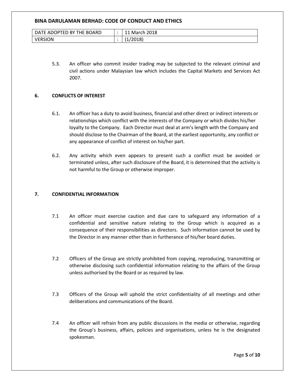| DATE ADOPTED BY THE BOARD | March 2018           |
|---------------------------|----------------------|
| <b>VERSION</b>            | $^{\prime}2018$<br>. |

5.3. An officer who commit insider trading may be subjected to the relevant criminal and civil actions under Malaysian law which includes the Capital Markets and Services Act 2007.

#### **6. CONFLICTS OF INTEREST**

- 6.1. An officer has a duty to avoid business, financial and other direct or indirect interests or relationships which conflict with the interests of the Company or which divides his/her loyalty to the Company. Each Director must deal at arm's length with the Company and should disclose to the Chairman of the Board, at the earliest opportunity, any conflict or any appearance of conflict of interest on his/her part.
- 6.2. Any activity which even appears to present such a conflict must be avoided or terminated unless, after such disclosure of the Board, it is determined that the activity is not harmful to the Group or otherwise improper.

#### **7. CONFIDENTIAL INFORMATION**

- 7.1 An officer must exercise caution and due care to safeguard any information of a confidential and sensitive nature relating to the Group which is acquired as a consequence of their responsibilities as directors. Such information cannot be used by the Director in any manner other than in furtherance of his/her board duties.
- 7.2 Officers of the Group are strictly prohibited from copying, reproducing, transmitting or otherwise disclosing such confidential information relating to the affairs of the Group unless authorised by the Board or as required by law.
- 7.3 Officers of the Group will uphold the strict confidentiality of all meetings and other deliberations and communications of the Board.
- 7.4 An officer will refrain from any public discussions in the media or otherwise, regarding the Group's business, affairs, policies and organisations, unless he is the designated spokesman.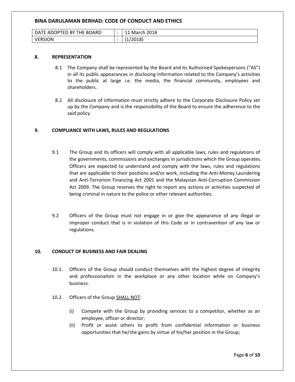| <b>IFD BY</b><br>THE BOARD<br>- DA<br><b>NE ADOPT</b> | 2018<br>March<br>-- |
|-------------------------------------------------------|---------------------|
| <b>VERSION</b>                                        | (2018)<br>. .       |

#### **8. REPRESENTATION**

- 8.1 The Company shall be represented by the Board and its Authorised Spokespersons ("AS") in all its public appearances in disclosing Information related to the Company's activities to the public at large i.e. the media, the financial community, employees and shareholders.
- 8.2 All disclosure of information must strictly adhere to the Corporate Disclosure Policy set up by the Company and is the responsibility of the Board to ensure the adherence to the said policy.

### **9. COMPLIANCE WITH LAWS, RULES AND REGULATIONS**

- 9.1 The Group and its officers will comply with all applicable laws, rules and regulations of the governments, commissions and exchanges in jurisdictions which the Group operates. Officers are expected to understand and comply with the laws, rules and regulations that are applicable to their positions and/or work, including the Anti-Money Laundering and Anti-Terrorism Financing Act 2001 and the Malaysian Anti-Corruption Commission Act 2009. The Group reserves the right to report any actions or activities suspected of being criminal in nature to the police or other relevant authorities.
- 9.2 Officers of the Group must not engage in or give the appearance of any illegal or improper conduct that is in violation of this Code or in contravention of any law or regulations.

# **10. CONDUCT OF BUSINESS AND FAIR DEALING**

- 10.1. Officers of the Group should conduct themselves with the highest degree of integrity and professionalism in the workplace or any other location while on Company's business.
- 10.2. Officers of the Group SHALL NOT:
	- (i) Compete with the Group by providing services to a competitor, whether as an employee, officer or director;
	- (ii) Profit or assist others to profit from confidential information or business opportunities that he/she gains by virtue of his/her position in the Group;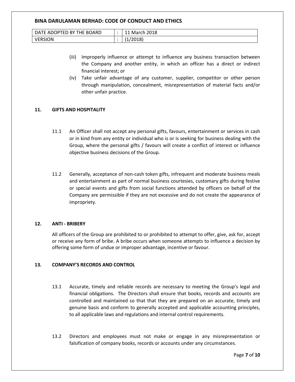| ∍BY `<br>THE BOARD<br>DATE ADOPTED | 2018<br>March |
|------------------------------------|---------------|
| SION                               | /2018)        |

- (iii) Improperly influence or attempt to influence any business transaction between the Company and another entity, in which an officer has a direct or indirect financial interest; or
- (iv) Take unfair advantage of any customer, supplier, competitor or other person through manipulation, concealment, misrepresentation of material facts and/or other unfair practice.

# **11. GIFTS AND HOSPITALITY**

- 11.1 An Officer shall not accept any personal gifts, favours, entertainment or services in cash or in kind from any entity or individual who is or is seeking for business dealing with the Group, where the personal gifts / favours will create a conflict of interest or influence objective business decisions of the Group.
- 11.2 Generally, acceptance of non-cash token gifts, infrequent and moderate business meals and entertainment as part of normal business courtesies, customary gifts during festive or special events and gifts from social functions attended by officers on behalf of the Company are permissible if they are not excessive and do not create the appearance of impropriety.

# **12. ANTI - BRIBERY**

All officers of the Group are prohibited to or prohibited to attempt to offer, give, ask for, accept or receive any form of bribe. A bribe occurs when someone attempts to influence a decision by offering some form of undue or improper advantage, incentive or favour.

# **13. COMPANY'S RECORDS AND CONTROL**

- 13.1 Accurate, timely and reliable records are necessary to meeting the Group's legal and financial obligations. The Directors shall ensure that books, records and accounts are controlled and maintained so that that they are prepared on an accurate, timely and genuine basis and conform to generally accepted and applicable accounting principles, to all applicable laws and regulations and internal control requirements.
- 13.2 Directors and employees must not make or engage in any misrepresentation or falsification of company books, records or accounts under any circumstances.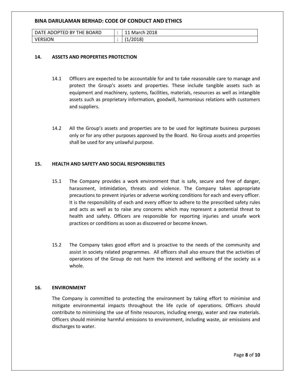| DATE ADOPTED BY THE BOARD | March 2018             |
|---------------------------|------------------------|
| <b>VERSION</b>            | 2018)<br><u>. на с</u> |

### **14. ASSETS AND PROPERTIES PROTECTION**

- 14.1 Officers are expected to be accountable for and to take reasonable care to manage and protect the Group's assets and properties. These include tangible assets such as equipment and machinery, systems, facilities, materials, resources as well as intangible assets such as proprietary information, goodwill, harmonious relations with customers and suppliers.
- 14.2 All the Group's assets and properties are to be used for legitimate business purposes only or for any other purposes approved by the Board. No Group assets and properties shall be used for any unlawful purpose.

### **15. HEALTH AND SAFETY AND SOCIAL RESPONSIBILTIES**

- 15.1 The Company provides a work environment that is safe, secure and free of danger, harassment, intimidation, threats and violence. The Company takes appropriate precautions to prevent injuries or adverse working conditions for each and every officer. It is the responsibility of each and every officer to adhere to the prescribed safety rules and acts as well as to raise any concerns which may represent a potential threat to health and safety. Officers are responsible for reporting injuries and unsafe work practices or conditions as soon as discovered or become known.
- 15.2 The Company takes good effort and is proactive to the needs of the community and assist in society related programmes. All officers shall also ensure that the activities of operations of the Group do not harm the interest and wellbeing of the society as a whole.

#### **16. ENVIRONMENT**

The Company is committed to protecting the environment by taking effort to minimise and mitigate environmental impacts throughout the life cycle of operations. Officers should contribute to minimising the use of finite resources, including energy, water and raw materials. Officers should minimise harmful emissions to environment, including waste, air emissions and discharges to water.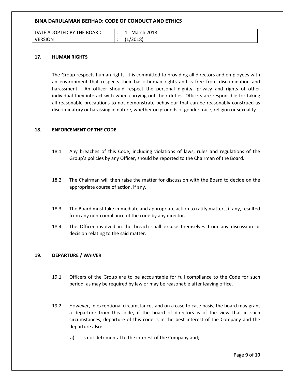| DATE ADOPTED BY THE BOARD | March 2018       |
|---------------------------|------------------|
| VERSION                   | 2018<br><b>.</b> |

### **17. HUMAN RIGHTS**

The Group respects human rights. It is committed to providing all directors and employees with an environment that respects their basic human rights and is free from discrimination and harassment. An officer should respect the personal dignity, privacy and rights of other individual they interact with when carrying out their duties. Officers are responsible for taking all reasonable precautions to not demonstrate behaviour that can be reasonably construed as discriminatory or harassing in nature, whether on grounds of gender, race, religion or sexuality.

### **18. ENFORCEMENT OF THE CODE**

- 18.1 Any breaches of this Code, including violations of laws, rules and regulations of the Group's policies by any Officer, should be reported to the Chairman of the Board.
- 18.2 The Chairman will then raise the matter for discussion with the Board to decide on the appropriate course of action, if any.
- 18.3 The Board must take immediate and appropriate action to ratify matters, if any, resulted from any non-compliance of the code by any director.
- 18.4 The Officer involved in the breach shall excuse themselves from any discussion or decision relating to the said matter.

# **19. DEPARTURE / WAIVER**

- 19.1 Officers of the Group are to be accountable for full compliance to the Code for such period, as may be required by law or may be reasonable after leaving office.
- 19.2 However, in exceptional circumstances and on a case to case basis, the board may grant a departure from this code, if the board of directors is of the view that in such circumstances, departure of this code is in the best interest of the Company and the departure also:
	- a) is not detrimental to the interest of the Company and;